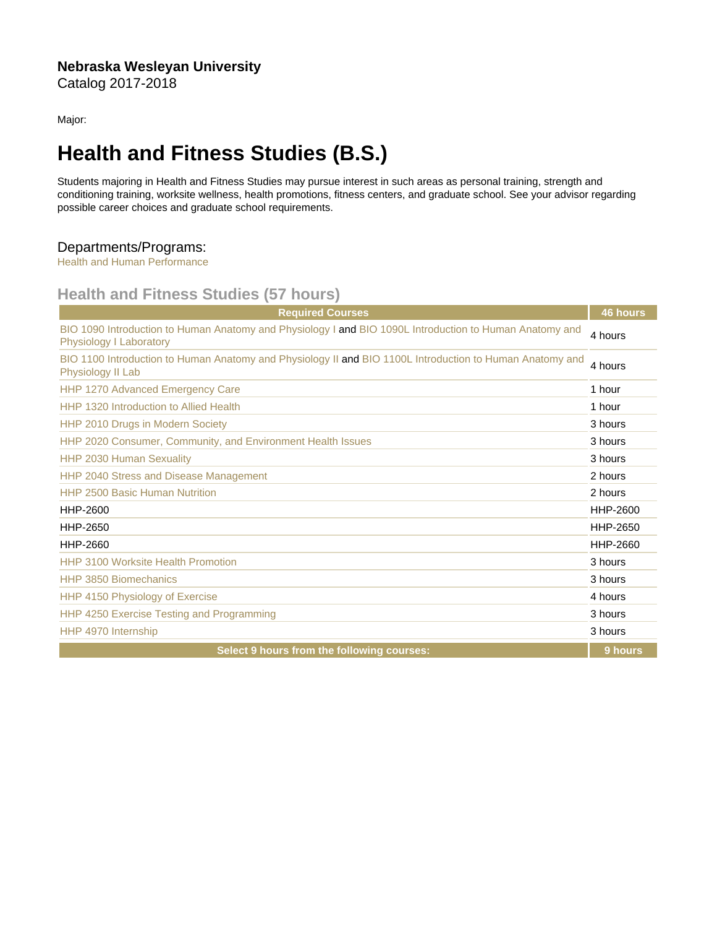Major:

## Health and Fitness Studies (B.S.)

Students majoring in Health and Fitness Studies may pursue interest in such areas as personal training, strength and conditioning training, worksite wellness, health promotions, fitness centers, and graduate school. See your advisor regarding possible career choices and graduate school requirements.

## Departments/Programs:

[Health and Human Performance](https://catalog.nebrwesleyan.edu/cc/2017-2018/department/320388)

## Health and Fitness Studies (57 hours)

| <b>Required Courses</b>                                                                                                            | 46 hours |
|------------------------------------------------------------------------------------------------------------------------------------|----------|
| BIO 1090 Introduction to Human Anatomy and Physiology I and BIO 1090L Introduction to Human Anatomy and<br>Physiology I Laboratory | 4 hours  |
| BIO 1100 Introduction to Human Anatomy and Physiology II and BIO 1100L Introduction to Human Anatomy and<br>Physiology II Lab      | 4 hours  |
| <b>HHP 1270 Advanced Emergency Care</b>                                                                                            | 1 hour   |
| HHP 1320 Introduction to Allied Health                                                                                             | 1 hour   |
| HHP 2010 Drugs in Modern Society                                                                                                   | 3 hours  |
| HHP 2020 Consumer, Community, and Environment Health Issues                                                                        | 3 hours  |
| HHP 2030 Human Sexuality                                                                                                           | 3 hours  |
| HHP 2040 Stress and Disease Management                                                                                             | 2 hours  |
| <b>HHP 2500 Basic Human Nutrition</b>                                                                                              | 2 hours  |
| HHP-2600                                                                                                                           | HHP-2600 |
| HHP-2650                                                                                                                           | HHP-2650 |
| HHP-2660                                                                                                                           | HHP-2660 |
| <b>HHP 3100 Worksite Health Promotion</b>                                                                                          | 3 hours  |
| <b>HHP 3850 Biomechanics</b>                                                                                                       | 3 hours  |
| HHP 4150 Physiology of Exercise                                                                                                    | 4 hours  |
| HHP 4250 Exercise Testing and Programming                                                                                          | 3 hours  |
| HHP 4970 Internship                                                                                                                | 3 hours  |
| Select 9 hours from the following courses:                                                                                         | 9 hours  |